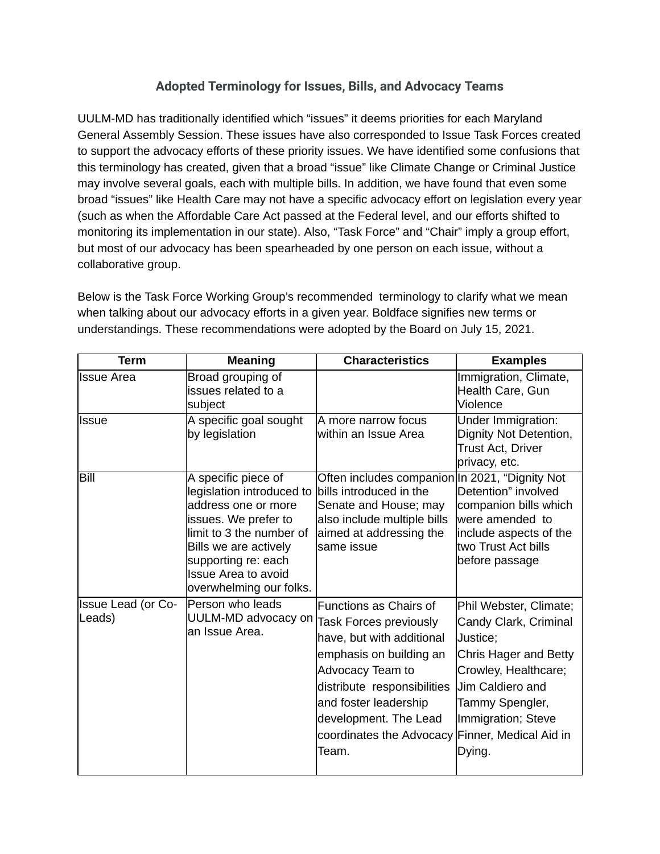## **Adopted Terminology for Issues, Bills, and Advocacy Teams**

UULM-MD has traditionally identified which "issues" it deems priorities for each Maryland General Assembly Session. These issues have also corresponded to Issue Task Forces created to support the advocacy efforts of these priority issues. We have identified some confusions that this terminology has created, given that a broad "issue" like Climate Change or Criminal Justice may involve several goals, each with multiple bills. In addition, we have found that even some broad "issues" like Health Care may not have a specific advocacy effort on legislation every year (such as when the Affordable Care Act passed at the Federal level, and our efforts shifted to monitoring its implementation in our state). Also, "Task Force" and "Chair" imply a group effort, but most of our advocacy has been spearheaded by one person on each issue, without a collaborative group.

Below is the Task Force Working Group's recommended terminology to clarify what we mean when talking about our advocacy efforts in a given year. Boldface signifies new terms or understandings. These recommendations were adopted by the Board on July 15, 2021.

| <b>Term</b>                         | <b>Meaning</b>                                                                                                                                                                                                                       | <b>Characteristics</b>                                                                                                                                                                                                                             | <b>Examples</b>                                                                                                                                                                                               |
|-------------------------------------|--------------------------------------------------------------------------------------------------------------------------------------------------------------------------------------------------------------------------------------|----------------------------------------------------------------------------------------------------------------------------------------------------------------------------------------------------------------------------------------------------|---------------------------------------------------------------------------------------------------------------------------------------------------------------------------------------------------------------|
| <b>Issue Area</b>                   | Broad grouping of<br>issues related to a<br>subject                                                                                                                                                                                  |                                                                                                                                                                                                                                                    | Immigration, Climate,<br>Health Care, Gun<br>Violence                                                                                                                                                         |
| <b>Issue</b>                        | A specific goal sought<br>by legislation                                                                                                                                                                                             | A more narrow focus<br>within an Issue Area                                                                                                                                                                                                        | Under Immigration:<br>Dignity Not Detention,<br><b>Trust Act, Driver</b><br>privacy, etc.                                                                                                                     |
| Bill                                | A specific piece of<br>legislation introduced to<br>address one or more<br>issues. We prefer to<br>limit to 3 the number of<br>Bills we are actively<br>supporting re: each<br><b>Issue Area to avoid</b><br>overwhelming our folks. | Often includes companion In 2021, "Dignity Not<br>bills introduced in the<br>Senate and House; may<br>also include multiple bills<br>aimed at addressing the<br>same issue                                                                         | Detention" involved<br>companion bills which<br>were amended to<br>include aspects of the<br>two Trust Act bills<br>before passage                                                                            |
| <b>Issue Lead (or Co-</b><br>Leads) | Person who leads<br>UULM-MD advocacy on<br>an Issue Area.                                                                                                                                                                            | Functions as Chairs of<br>Task Forces previously<br>have, but with additional<br>emphasis on building an<br>Advocacy Team to<br>distribute responsibilities<br>and foster leadership<br>development. The Lead<br>coordinates the Advocacy<br>Team. | Phil Webster, Climate;<br>Candy Clark, Criminal<br>Justice;<br>Chris Hager and Betty<br>Crowley, Healthcare;<br>Jim Caldiero and<br>Tammy Spengler,<br>Immigration; Steve<br>Finner, Medical Aid in<br>Dying. |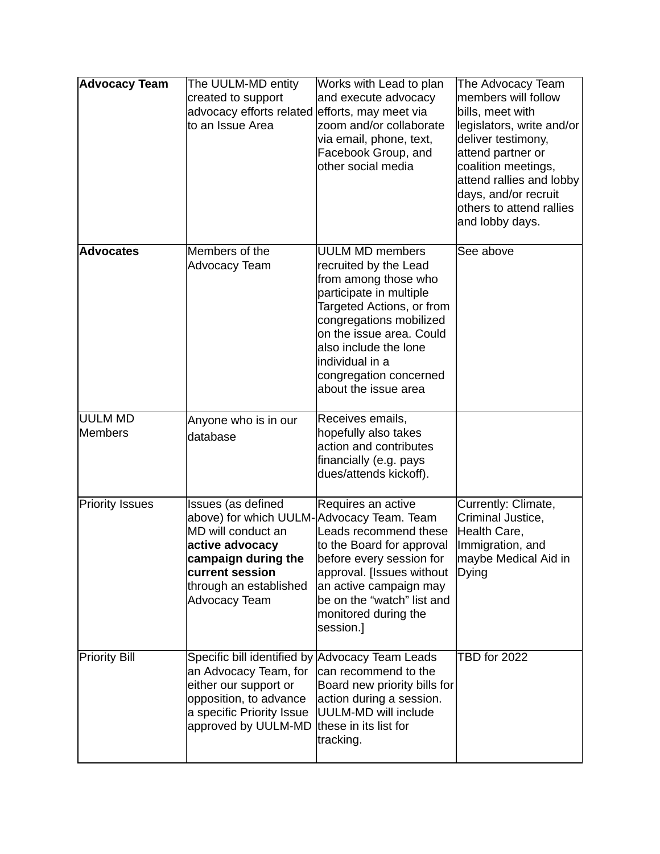| <b>Advocacy Team</b>             | The UULM-MD entity<br>created to support<br>advocacy efforts related<br>to an Issue Area                                                                                                             | Works with Lead to plan<br>and execute advocacy<br>efforts, may meet via<br>zoom and/or collaborate<br>via email, phone, text,<br>Facebook Group, and<br>other social media                                                                                                          | The Advocacy Team<br>members will follow<br>bills, meet with<br>legislators, write and/or<br>deliver testimony,<br>attend partner or<br>coalition meetings,<br>attend rallies and lobby<br>days, and/or recruit<br>others to attend rallies<br>and lobby days. |
|----------------------------------|------------------------------------------------------------------------------------------------------------------------------------------------------------------------------------------------------|--------------------------------------------------------------------------------------------------------------------------------------------------------------------------------------------------------------------------------------------------------------------------------------|----------------------------------------------------------------------------------------------------------------------------------------------------------------------------------------------------------------------------------------------------------------|
| <b>Advocates</b>                 | Members of the<br><b>Advocacy Team</b>                                                                                                                                                               | <b>UULM MD members</b><br>recruited by the Lead<br>from among those who<br>participate in multiple<br>Targeted Actions, or from<br>congregations mobilized<br>on the issue area. Could<br>also include the lone<br>individual in a<br>congregation concerned<br>about the issue area | See above                                                                                                                                                                                                                                                      |
| <b>UULM MD</b><br><b>Members</b> | Anyone who is in our<br>database                                                                                                                                                                     | Receives emails,<br>hopefully also takes<br>action and contributes<br>financially (e.g. pays<br>dues/attends kickoff).                                                                                                                                                               |                                                                                                                                                                                                                                                                |
| <b>Priority Issues</b>           | Issues (as defined<br>above) for which UULM-Advocacy Team. Team<br>MD will conduct an<br>active advocacy<br>campaign during the<br>current session<br>through an established<br><b>Advocacy Team</b> | Requires an active<br>Leads recommend these<br>to the Board for approval<br>before every session for<br>approval. [Issues without<br>an active campaign may<br>be on the "watch" list and<br>monitored during the<br>session.]                                                       | Currently: Climate,<br>Criminal Justice,<br>Health Care,<br>Immigration, and<br>maybe Medical Aid in<br>Dying                                                                                                                                                  |
| <b>Priority Bill</b>             | Specific bill identified by Advocacy Team Leads<br>an Advocacy Team, for<br>either our support or<br>opposition, to advance<br>a specific Priority Issue<br>approved by UULM-MD                      | can recommend to the<br>Board new priority bills for<br>action during a session.<br>UULM-MD will include<br>these in its list for<br>tracking.                                                                                                                                       | <b>TBD for 2022</b>                                                                                                                                                                                                                                            |